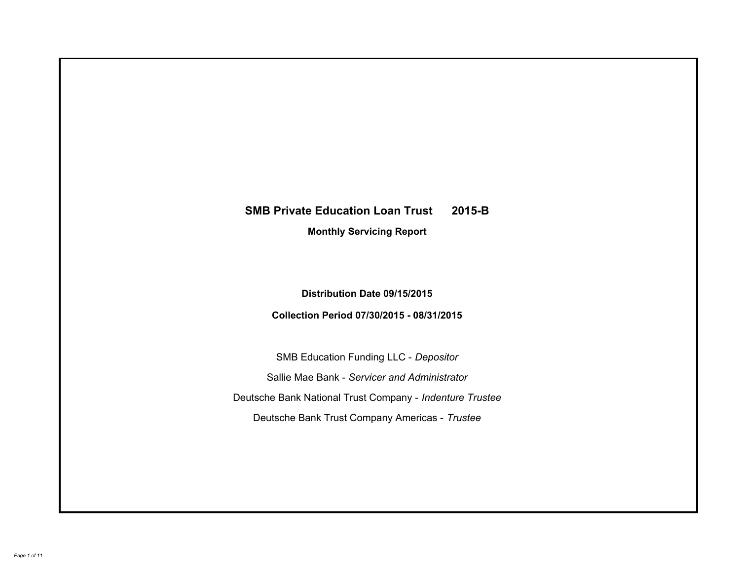# **SMB Private Education Loan Trust 2015-B Monthly Servicing Report**

## **Distribution Date 09/15/2015**

## **Collection Period 07/30/2015 - 08/31/2015**

SMB Education Funding LLC - *Depositor* Sallie Mae Bank - *Servicer and Administrator* Deutsche Bank National Trust Company - *Indenture Trustee* Deutsche Bank Trust Company Americas - *Trustee*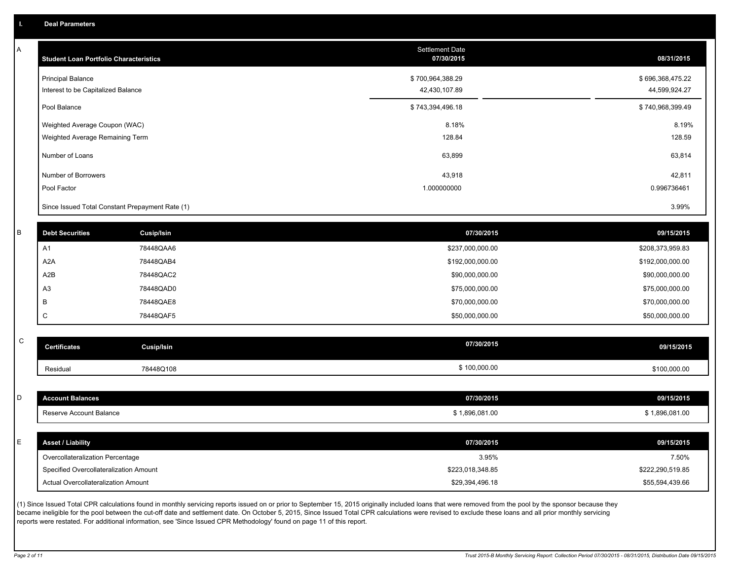A

| A | <b>Student Loan Portfolio Characteristics</b>   |                   | <b>Settlement Date</b><br>07/30/2015 | 08/31/2015       |
|---|-------------------------------------------------|-------------------|--------------------------------------|------------------|
|   | <b>Principal Balance</b>                        |                   | \$700,964,388.29                     | \$696,368,475.22 |
|   | Interest to be Capitalized Balance              |                   | 42,430,107.89                        | 44,599,924.27    |
|   | Pool Balance                                    |                   | \$743,394,496.18                     | \$740,968,399.49 |
|   | Weighted Average Coupon (WAC)                   |                   | 8.18%                                | 8.19%            |
|   | Weighted Average Remaining Term                 |                   | 128.84                               | 128.59           |
|   | Number of Loans                                 |                   | 63,899                               | 63,814           |
|   | Number of Borrowers                             |                   | 43,918                               | 42,811           |
|   | Pool Factor                                     |                   | 1.000000000                          | 0.996736461      |
|   | Since Issued Total Constant Prepayment Rate (1) |                   |                                      | 3.99%            |
|   |                                                 |                   |                                      |                  |
| R | <b>Debt Securities</b>                          | <b>Cusip/Isin</b> | 07/30/2015                           | 09/15/2015       |
|   | A <sub>1</sub>                                  | 78448QAA6         | \$237,000,000.00                     | \$208,373,959.83 |
|   | A <sub>2</sub> A                                | 78448QAB4         | \$192,000,000.00                     | \$192,000,000.00 |
|   | A2B                                             | 78448QAC2         | \$90,000,000.00                      | \$90,000,000.00  |
|   | A <sub>3</sub>                                  | 78448QAD0         | \$75,000,000.00                      | \$75,000,000.00  |
|   | В                                               | 78448QAE8         | \$70,000,000.00                      | \$70,000,000.00  |
|   | $\mathbf C$                                     | 78448QAF5         | \$50,000,000.00                      | \$50,000,000.00  |
| C |                                                 |                   |                                      |                  |
|   | <b>Certificates</b>                             | Cusip/Isin        | 07/30/2015                           | 09/15/2015       |
|   | Residual                                        | 78448Q108         | \$100,000.00                         | \$100,000.00     |
|   |                                                 |                   |                                      |                  |
| D | <b>Account Balances</b>                         |                   | 07/30/2015                           | 09/15/2015       |
|   | Reserve Account Balance                         |                   | \$1,896,081.00                       | \$1,896,081.00   |
|   |                                                 |                   |                                      |                  |
| E | <b>Asset / Liability</b>                        |                   | 07/30/2015                           | 09/15/2015       |
|   | Overcollateralization Percentage                |                   | 3.95%                                | 7.50%            |
|   | Specified Overcollateralization Amount          |                   | \$223,018,348.85                     | \$222,290,519.85 |
|   | Actual Overcollateralization Amount             |                   | \$29,394,496.18                      | \$55,594,439.66  |

(1) Since Issued Total CPR calculations found in monthly servicing reports issued on or prior to September 15, 2015 originally included loans that were removed from the pool by the sponsor because they became ineligible for the pool between the cut-off date and settlement date. On October 5, 2015, Since Issued Total CPR calculations were revised to exclude these loans and all prior monthly servicing reports were restated. For additional information, see 'Since Issued CPR Methodology' found on page 11 of this report.

C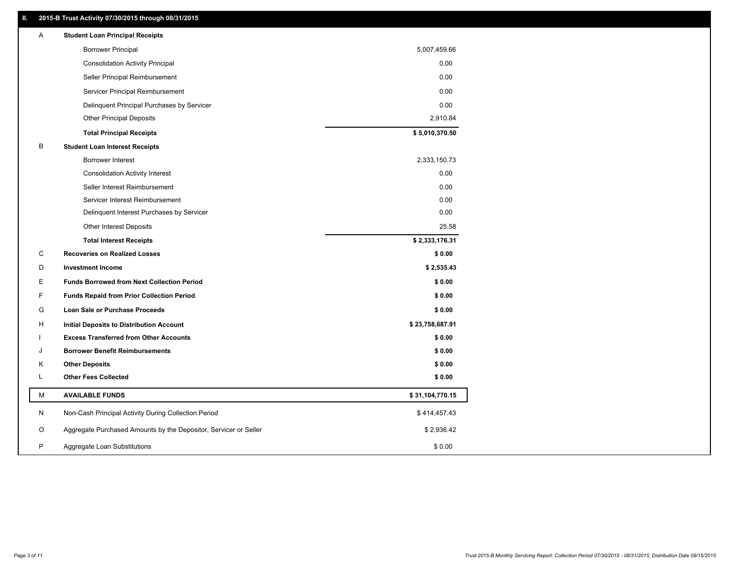## **II. 2015-B Trust Activity 07/30/2015 through 08/31/2015**

| Α | <b>Student Loan Principal Receipts</b>                           |                 |
|---|------------------------------------------------------------------|-----------------|
|   | <b>Borrower Principal</b>                                        | 5,007,459.66    |
|   | <b>Consolidation Activity Principal</b>                          | 0.00            |
|   | Seller Principal Reimbursement                                   | 0.00            |
|   | Servicer Principal Reimbursement                                 | 0.00            |
|   | Delinquent Principal Purchases by Servicer                       | 0.00            |
|   | <b>Other Principal Deposits</b>                                  | 2,910.84        |
|   | <b>Total Principal Receipts</b>                                  | \$5,010,370.50  |
| B | <b>Student Loan Interest Receipts</b>                            |                 |
|   | Borrower Interest                                                | 2,333,150.73    |
|   | <b>Consolidation Activity Interest</b>                           | 0.00            |
|   | Seller Interest Reimbursement                                    | 0.00            |
|   | Servicer Interest Reimbursement                                  | 0.00            |
|   | Delinquent Interest Purchases by Servicer                        | 0.00            |
|   | <b>Other Interest Deposits</b>                                   | 25.58           |
|   | <b>Total Interest Receipts</b>                                   | \$2,333,176.31  |
| С | <b>Recoveries on Realized Losses</b>                             | \$0.00          |
| D | <b>Investment Income</b>                                         | \$2,535.43      |
| Е | <b>Funds Borrowed from Next Collection Period</b>                | \$0.00          |
| F | <b>Funds Repaid from Prior Collection Period</b>                 | \$0.00          |
| G | Loan Sale or Purchase Proceeds                                   | \$0.00          |
| н | Initial Deposits to Distribution Account                         | \$23,758,687.91 |
|   | <b>Excess Transferred from Other Accounts</b>                    | \$0.00          |
| J | <b>Borrower Benefit Reimbursements</b>                           | \$0.00          |
| Κ | <b>Other Deposits</b>                                            | \$0.00          |
| L | <b>Other Fees Collected</b>                                      | \$0.00          |
| М | <b>AVAILABLE FUNDS</b>                                           | \$31,104,770.15 |
| N | Non-Cash Principal Activity During Collection Period             | \$414,457.43    |
| O | Aggregate Purchased Amounts by the Depositor, Servicer or Seller | \$2,936.42      |
| P | Aggregate Loan Substitutions                                     | \$0.00          |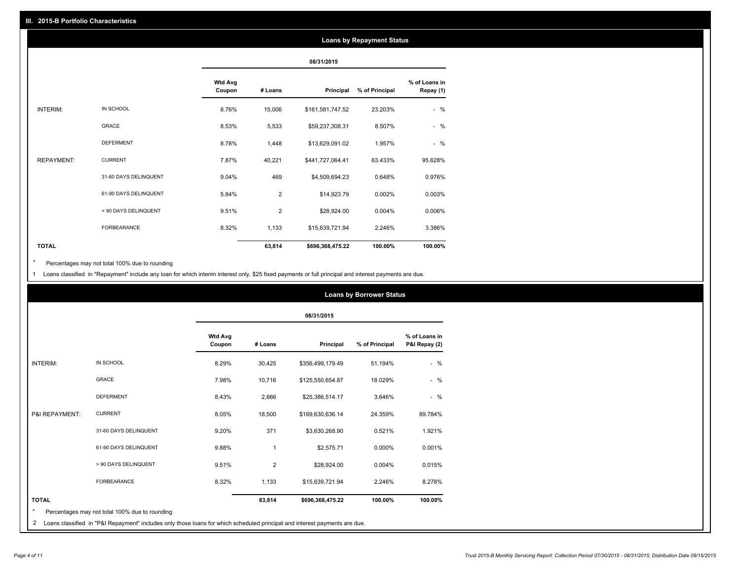## **Loans by Repayment Status**

|                   |                       |                          | 08/31/2015 |                  |                |                            |
|-------------------|-----------------------|--------------------------|------------|------------------|----------------|----------------------------|
|                   |                       | <b>Wtd Avg</b><br>Coupon | # Loans    | Principal        | % of Principal | % of Loans in<br>Repay (1) |
| INTERIM:          | IN SCHOOL             | 8.76%                    | 15,006     | \$161,581,747.52 | 23.203%        | $-$ %                      |
|                   | <b>GRACE</b>          | 8.53%                    | 5,533      | \$59,237,308.31  | 8.507%         | $-$ %                      |
|                   | <b>DEFERMENT</b>      | 8.78%                    | 1,448      | \$13,629,091.02  | 1.957%         | $-$ %                      |
| <b>REPAYMENT:</b> | <b>CURRENT</b>        | 7.87%                    | 40,221     | \$441,727,064.41 | 63.433%        | 95.628%                    |
|                   | 31-60 DAYS DELINQUENT | 9.04%                    | 469        | \$4,509,694.23   | 0.648%         | 0.976%                     |
|                   | 61-90 DAYS DELINQUENT | 5.84%                    | 2          | \$14,923.79      | 0.002%         | 0.003%                     |
|                   | > 90 DAYS DELINQUENT  | 9.51%                    | 2          | \$28,924.00      | 0.004%         | 0.006%                     |
|                   | <b>FORBEARANCE</b>    | 8.32%                    | 1,133      | \$15,639,721.94  | 2.246%         | 3.386%                     |
| <b>TOTAL</b>      |                       |                          | 63,814     | \$696,368,475.22 | 100.00%        | 100.00%                    |

Percentages may not total 100% due to rounding  $^\star$ 

1 Loans classified in "Repayment" include any loan for which interim interest only, \$25 fixed payments or full principal and interest payments are due.

|                 |                                                |                          | <b>Loans by Borrower Status</b> |                  |                |                                |  |
|-----------------|------------------------------------------------|--------------------------|---------------------------------|------------------|----------------|--------------------------------|--|
|                 |                                                |                          | 08/31/2015                      |                  |                |                                |  |
|                 |                                                | <b>Wtd Avg</b><br>Coupon | # Loans                         | Principal        | % of Principal | % of Loans in<br>P&I Repay (2) |  |
| <b>INTERIM:</b> | IN SCHOOL                                      | 8.29%                    | 30,425                          | \$356,499,179.49 | 51.194%        | $-$ %                          |  |
|                 | <b>GRACE</b>                                   | 7.98%                    | 10,716                          | \$125,550,654.87 | 18.029%        | $-$ %                          |  |
|                 | <b>DEFERMENT</b>                               | 8.43%                    | 2,666                           | \$25,386,514.17  | 3.646%         | $-$ %                          |  |
| P&I REPAYMENT:  | <b>CURRENT</b>                                 | 8.05%                    | 18,500                          | \$169,630,636.14 | 24.359%        | 89.784%                        |  |
|                 | 31-60 DAYS DELINQUENT                          | 9.20%                    | 371                             | \$3,630,268.90   | 0.521%         | 1.921%                         |  |
|                 | 61-90 DAYS DELINQUENT                          | 9.88%                    | $\mathbf{1}$                    | \$2,575.71       | 0.000%         | 0.001%                         |  |
|                 | > 90 DAYS DELINQUENT                           | 9.51%                    | $\overline{2}$                  | \$28,924.00      | 0.004%         | 0.015%                         |  |
|                 | <b>FORBEARANCE</b>                             | 8.32%                    | 1,133                           | \$15,639,721.94  | 2.246%         | 8.278%                         |  |
| <b>TOTAL</b>    |                                                |                          | 63,814                          | \$696,368,475.22 | 100.00%        | 100.00%                        |  |
| $\star$         | Percentages may not total 100% due to rounding |                          |                                 |                  |                |                                |  |

2 Loans classified in "P&I Repayment" includes only those loans for which scheduled principal and interest payments are due.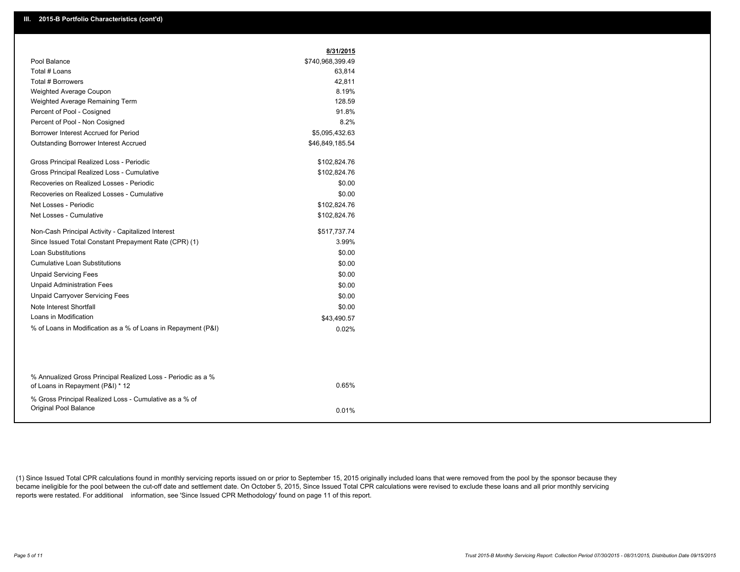|                                                                                 | 8/31/2015        |
|---------------------------------------------------------------------------------|------------------|
| Pool Balance                                                                    | \$740,968,399.49 |
| Total # Loans                                                                   | 63,814           |
| Total # Borrowers                                                               | 42,811           |
| Weighted Average Coupon                                                         | 8.19%            |
| Weighted Average Remaining Term                                                 | 128.59           |
| Percent of Pool - Cosigned                                                      | 91.8%            |
| Percent of Pool - Non Cosigned                                                  | 8.2%             |
| Borrower Interest Accrued for Period                                            | \$5,095,432.63   |
| <b>Outstanding Borrower Interest Accrued</b>                                    | \$46,849,185.54  |
| Gross Principal Realized Loss - Periodic                                        | \$102,824.76     |
| Gross Principal Realized Loss - Cumulative                                      | \$102,824.76     |
| Recoveries on Realized Losses - Periodic                                        | \$0.00           |
| Recoveries on Realized Losses - Cumulative                                      | \$0.00           |
| Net Losses - Periodic                                                           | \$102,824.76     |
| Net Losses - Cumulative                                                         | \$102,824.76     |
| Non-Cash Principal Activity - Capitalized Interest                              | \$517,737.74     |
| Since Issued Total Constant Prepayment Rate (CPR) (1)                           | 3.99%            |
| <b>Loan Substitutions</b>                                                       | \$0.00           |
| <b>Cumulative Loan Substitutions</b>                                            | \$0.00           |
| <b>Unpaid Servicing Fees</b>                                                    | \$0.00           |
| <b>Unpaid Administration Fees</b>                                               | \$0.00           |
| <b>Unpaid Carryover Servicing Fees</b>                                          | \$0.00           |
| Note Interest Shortfall                                                         | \$0.00           |
| Loans in Modification                                                           | \$43,490.57      |
| % of Loans in Modification as a % of Loans in Repayment (P&I)                   | 0.02%            |
| % Annualized Gross Principal Realized Loss - Periodic as a %                    |                  |
| of Loans in Repayment (P&I) * 12                                                | 0.65%            |
| % Gross Principal Realized Loss - Cumulative as a % of<br>Original Pool Balance | 0.01%            |

(1) Since Issued Total CPR calculations found in monthly servicing reports issued on or prior to September 15, 2015 originally included loans that were removed from the pool by the sponsor because they became ineligible for the pool between the cut-off date and settlement date. On October 5, 2015, Since Issued Total CPR calculations were revised to exclude these loans and all prior monthly servicing reports were restated. For additional information, see 'Since Issued CPR Methodology' found on page 11 of this report.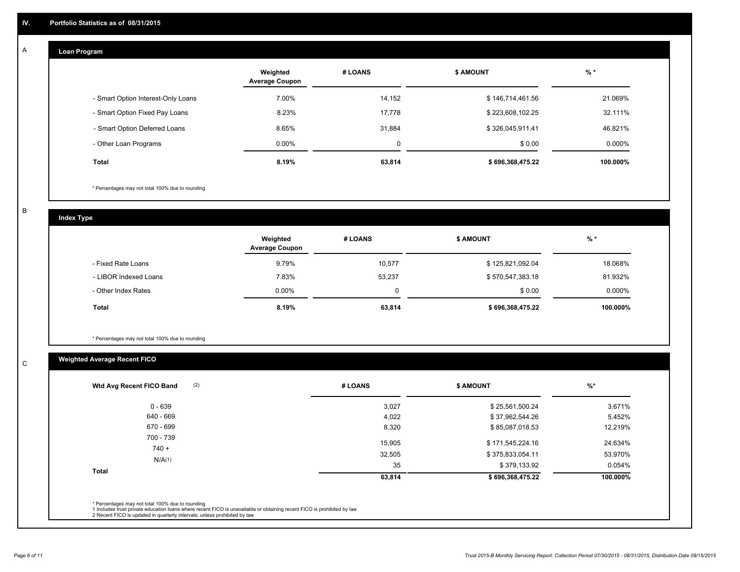#### **Loan Program**  A

|                                    | Weighted<br><b>Average Coupon</b> | # LOANS | <b>\$ AMOUNT</b> | $%$ *     |
|------------------------------------|-----------------------------------|---------|------------------|-----------|
| - Smart Option Interest-Only Loans | 7.00%                             | 14,152  | \$146,714,461.56 | 21.069%   |
| - Smart Option Fixed Pay Loans     | 8.23%                             | 17,778  | \$223,608,102.25 | 32.111%   |
| - Smart Option Deferred Loans      | 8.65%                             | 31.884  | \$326,045,911.41 | 46.821%   |
| - Other Loan Programs              | $0.00\%$                          | 0       | \$0.00           | $0.000\%$ |
| Total                              | 8.19%                             | 63,814  | \$696,368,475.22 | 100.000%  |

\* Percentages may not total 100% due to rounding

B

C

**Index Type**

|                       | Weighted<br><b>Average Coupon</b> | # LOANS | <b>\$ AMOUNT</b> | $%$ *     |
|-----------------------|-----------------------------------|---------|------------------|-----------|
| - Fixed Rate Loans    | 9.79%                             | 10,577  | \$125,821,092.04 | 18.068%   |
| - LIBOR Indexed Loans | 7.83%                             | 53.237  | \$570,547,383.18 | 81.932%   |
| - Other Index Rates   | $0.00\%$                          | 0       | \$0.00           | $0.000\%$ |
| Total                 | 8.19%                             | 63,814  | \$696,368,475.22 | 100.000%  |

\* Percentages may not total 100% due to rounding

## **Weighted Average Recent FICO**

| \$25,561,500.24<br>\$37,962,544.26<br>\$85,087,018.53 | 3.671%<br>5.452% |
|-------------------------------------------------------|------------------|
|                                                       |                  |
|                                                       |                  |
|                                                       | 12.219%          |
|                                                       |                  |
| \$171,545,224.16                                      | 24.634%          |
| \$375,833,054.11                                      | 53.970%          |
| \$379,133.92                                          | 0.054%           |
| \$696,368,475.22                                      | 100.000%         |
|                                                       |                  |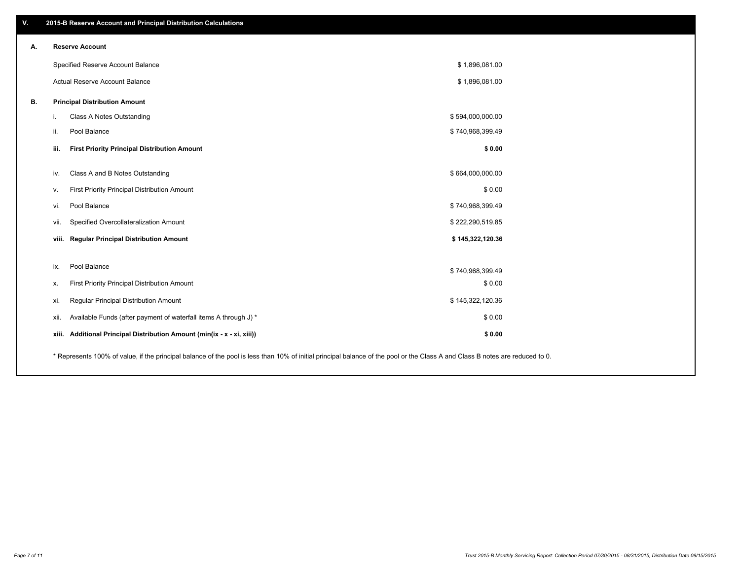| V. | 2015-B Reserve Account and Principal Distribution Calculations                                                                                                                |                  |  |
|----|-------------------------------------------------------------------------------------------------------------------------------------------------------------------------------|------------------|--|
| А. | <b>Reserve Account</b>                                                                                                                                                        |                  |  |
|    | Specified Reserve Account Balance                                                                                                                                             | \$1,896,081.00   |  |
|    | Actual Reserve Account Balance                                                                                                                                                | \$1,896,081.00   |  |
| В. | <b>Principal Distribution Amount</b>                                                                                                                                          |                  |  |
|    | Class A Notes Outstanding<br>i.                                                                                                                                               | \$594,000,000.00 |  |
|    | Pool Balance<br>ii.                                                                                                                                                           | \$740,968,399.49 |  |
|    | iii.<br><b>First Priority Principal Distribution Amount</b>                                                                                                                   | \$0.00           |  |
|    | Class A and B Notes Outstanding<br>iv.                                                                                                                                        | \$664,000,000.00 |  |
|    | First Priority Principal Distribution Amount<br>v.                                                                                                                            | \$0.00           |  |
|    | Pool Balance<br>vi.                                                                                                                                                           | \$740,968,399.49 |  |
|    | Specified Overcollateralization Amount<br>vii.                                                                                                                                | \$222,290,519.85 |  |
|    | viii. Regular Principal Distribution Amount                                                                                                                                   | \$145,322,120.36 |  |
|    |                                                                                                                                                                               |                  |  |
|    | Pool Balance<br>ix.                                                                                                                                                           | \$740,968,399.49 |  |
|    | First Priority Principal Distribution Amount<br>х.                                                                                                                            | \$0.00           |  |
|    | Regular Principal Distribution Amount<br>xi.                                                                                                                                  | \$145,322,120.36 |  |
|    | Available Funds (after payment of waterfall items A through J) *<br>xii.                                                                                                      | \$0.00           |  |
|    | Additional Principal Distribution Amount (min(ix - x - xi, xiii))<br>xiii.                                                                                                    | \$0.00           |  |
|    | * Represents 100% of value, if the principal balance of the pool is less than 10% of initial principal balance of the pool or the Class A and Class B notes are reduced to 0. |                  |  |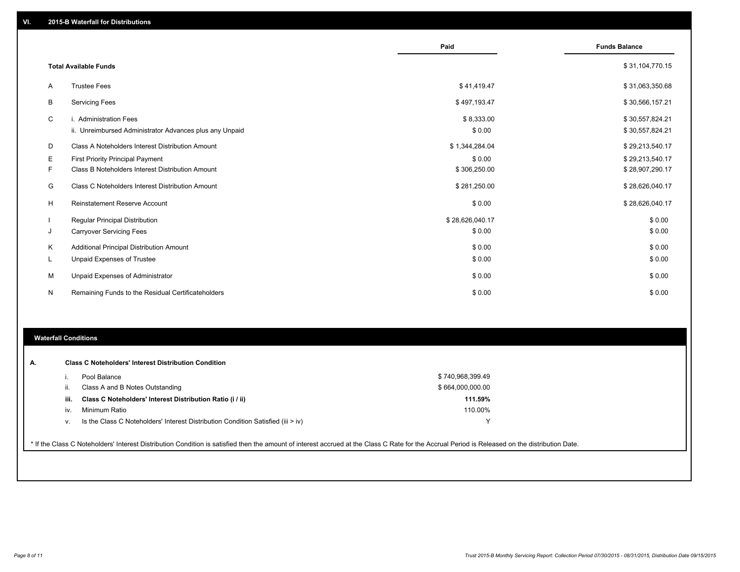|    |                                                         | Paid            | <b>Funds Balance</b> |
|----|---------------------------------------------------------|-----------------|----------------------|
|    |                                                         |                 |                      |
|    | <b>Total Available Funds</b>                            |                 | \$31,104,770.15      |
| A  | <b>Trustee Fees</b>                                     | \$41,419.47     | \$31,063,350.68      |
| B  | <b>Servicing Fees</b>                                   | \$497,193.47    | \$30,566,157.21      |
| C  | i. Administration Fees                                  | \$8,333.00      | \$30,557,824.21      |
|    | ii. Unreimbursed Administrator Advances plus any Unpaid | \$0.00          | \$30,557,824.21      |
| D  | Class A Noteholders Interest Distribution Amount        | \$1,344,284.04  | \$29,213,540.17      |
| E  | <b>First Priority Principal Payment</b>                 | \$0.00          | \$29,213,540.17      |
| F  | Class B Noteholders Interest Distribution Amount        | \$306,250.00    | \$28,907,290.17      |
| G  | Class C Noteholders Interest Distribution Amount        | \$281,250.00    | \$28,626,040.17      |
| H  | Reinstatement Reserve Account                           | \$0.00          | \$28,626,040.17      |
|    | Regular Principal Distribution                          | \$28,626,040.17 | \$0.00               |
| J  | <b>Carryover Servicing Fees</b>                         | \$0.00          | \$0.00               |
| Κ  | Additional Principal Distribution Amount                | \$0.00          | \$0.00               |
| L. | Unpaid Expenses of Trustee                              | \$0.00          | \$0.00               |
| M  | Unpaid Expenses of Administrator                        | \$0.00          | \$0.00               |
| N  | Remaining Funds to the Residual Certificateholders      | \$0.00          | \$0.00               |

### **Waterfall Conditions**

| А. | <b>Class C Noteholders' Interest Distribution Condition</b> |                                                                                                                                                                                                 |                  |  |
|----|-------------------------------------------------------------|-------------------------------------------------------------------------------------------------------------------------------------------------------------------------------------------------|------------------|--|
|    |                                                             | Pool Balance                                                                                                                                                                                    | \$740,968,399.49 |  |
|    | ii.                                                         | Class A and B Notes Outstanding                                                                                                                                                                 | \$664,000,000.00 |  |
|    | iii.                                                        | Class C Noteholders' Interest Distribution Ratio (i / ii)                                                                                                                                       | 111.59%          |  |
|    | iv.                                                         | Minimum Ratio                                                                                                                                                                                   | 110.00%          |  |
|    | ν.                                                          | Is the Class C Noteholders' Interest Distribution Condition Satisfied (iii $>$ iv)                                                                                                              |                  |  |
|    |                                                             |                                                                                                                                                                                                 |                  |  |
|    |                                                             | * If the Class C Noteholders' Interest Distribution Condition is satisfied then the amount of interest accrued at the Class C Rate for the Accrual Period is Released on the distribution Date. |                  |  |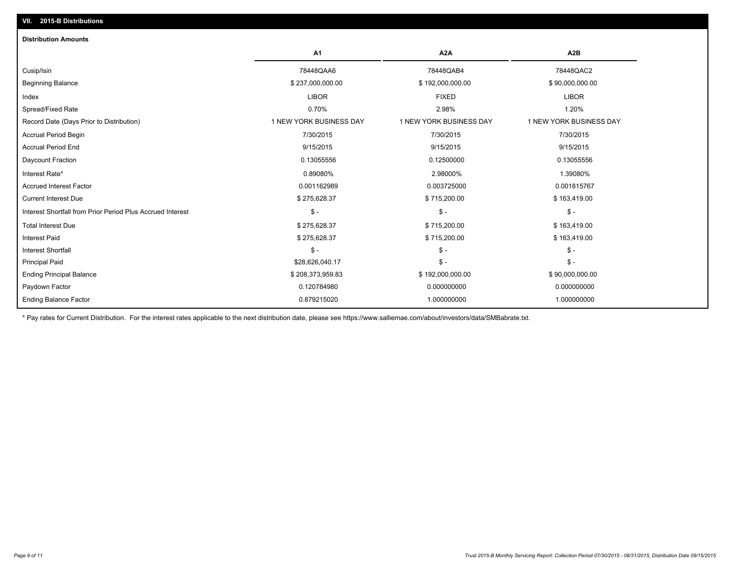| <b>Distribution Amounts</b>                                |                         |                         |                         |
|------------------------------------------------------------|-------------------------|-------------------------|-------------------------|
|                                                            | A <sub>1</sub>          | A <sub>2</sub> A        | A <sub>2</sub> B        |
| Cusip/Isin                                                 | 78448QAA6               | 78448QAB4               | 78448QAC2               |
| <b>Beginning Balance</b>                                   | \$237,000,000.00        | \$192,000,000.00        | \$90,000,000.00         |
| Index                                                      | <b>LIBOR</b>            | <b>FIXED</b>            | <b>LIBOR</b>            |
| Spread/Fixed Rate                                          | 0.70%                   | 2.98%                   | 1.20%                   |
| Record Date (Days Prior to Distribution)                   | 1 NEW YORK BUSINESS DAY | 1 NEW YORK BUSINESS DAY | 1 NEW YORK BUSINESS DAY |
| <b>Accrual Period Begin</b>                                | 7/30/2015               | 7/30/2015               | 7/30/2015               |
| <b>Accrual Period End</b>                                  | 9/15/2015               | 9/15/2015               | 9/15/2015               |
| Daycount Fraction                                          | 0.13055556              | 0.12500000              | 0.13055556              |
| Interest Rate*                                             | 0.89080%                | 2.98000%                | 1.39080%                |
| <b>Accrued Interest Factor</b>                             | 0.001162989             | 0.003725000             | 0.001815767             |
| <b>Current Interest Due</b>                                | \$275,628.37            | \$715,200.00            | \$163,419.00            |
| Interest Shortfall from Prior Period Plus Accrued Interest | $\mathsf{\$}$ -         | $\mathsf{\$}$ -         | $\mathsf{\$}$ -         |
| <b>Total Interest Due</b>                                  | \$275,628.37            | \$715,200.00            | \$163,419.00            |
| <b>Interest Paid</b>                                       | \$275,628.37            | \$715,200.00            | \$163,419.00            |
| <b>Interest Shortfall</b>                                  | $\mathsf{\$}$ -         | $S -$                   | $\mathsf{\$}$ -         |
| <b>Principal Paid</b>                                      | \$28,626,040.17         | $\mathsf{\$}$ -         | $S -$                   |
| <b>Ending Principal Balance</b>                            | \$208,373,959.83        | \$192,000,000.00        | \$90,000,000.00         |
| Paydown Factor                                             | 0.120784980             | 0.000000000             | 0.000000000             |
| <b>Ending Balance Factor</b>                               | 0.879215020             | 1.000000000             | 1.000000000             |

\* Pay rates for Current Distribution. For the interest rates applicable to the next distribution date, please see https://www.salliemae.com/about/investors/data/SMBabrate.txt.

**VII. 2015-B Distributions**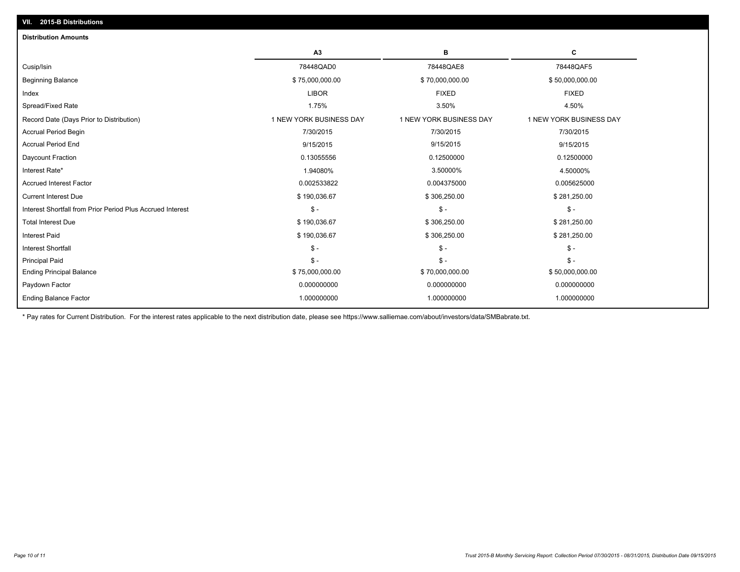| <b>Distribution Amounts</b>                                |                         |                         |                         |
|------------------------------------------------------------|-------------------------|-------------------------|-------------------------|
|                                                            | A <sub>3</sub>          | в                       | C                       |
| Cusip/Isin                                                 | 78448QAD0               | 78448QAE8               | 78448QAF5               |
| <b>Beginning Balance</b>                                   | \$75,000,000.00         | \$70,000,000.00         | \$50,000,000.00         |
| Index                                                      | <b>LIBOR</b>            | <b>FIXED</b>            | <b>FIXED</b>            |
| Spread/Fixed Rate                                          | 1.75%                   | 3.50%                   | 4.50%                   |
| Record Date (Days Prior to Distribution)                   | 1 NEW YORK BUSINESS DAY | 1 NEW YORK BUSINESS DAY | 1 NEW YORK BUSINESS DAY |
| <b>Accrual Period Begin</b>                                | 7/30/2015               | 7/30/2015               | 7/30/2015               |
| <b>Accrual Period End</b>                                  | 9/15/2015               | 9/15/2015               | 9/15/2015               |
| Daycount Fraction                                          | 0.13055556              | 0.12500000              | 0.12500000              |
| Interest Rate*                                             | 1.94080%                | 3.50000%                | 4.50000%                |
| <b>Accrued Interest Factor</b>                             | 0.002533822             | 0.004375000             | 0.005625000             |
| <b>Current Interest Due</b>                                | \$190,036.67            | \$306,250.00            | \$281,250.00            |
| Interest Shortfall from Prior Period Plus Accrued Interest | $\mathbb{S}$ -          | $\mathsf{\$}$ -         | $\frac{2}{3}$ -         |
| <b>Total Interest Due</b>                                  | \$190,036.67            | \$306,250.00            | \$281,250.00            |
| <b>Interest Paid</b>                                       | \$190,036.67            | \$306,250.00            | \$281,250.00            |
| <b>Interest Shortfall</b>                                  | $\mathbb{S}$ -          | $\mathsf{\$}$ -         | $\mathsf{\$}$ -         |
| <b>Principal Paid</b>                                      | $\mathsf{\$}$ -         | $\mathsf{\$}$ -         | $\mathsf{\$}$ -         |
| <b>Ending Principal Balance</b>                            | \$75,000,000.00         | \$70,000,000.00         | \$50,000,000.00         |
| Paydown Factor                                             | 0.000000000             | 0.000000000             | 0.000000000             |
| <b>Ending Balance Factor</b>                               | 1.000000000             | 1.000000000             | 1.000000000             |

\* Pay rates for Current Distribution. For the interest rates applicable to the next distribution date, please see https://www.salliemae.com/about/investors/data/SMBabrate.txt.

**VII. 2015-B Distributions**